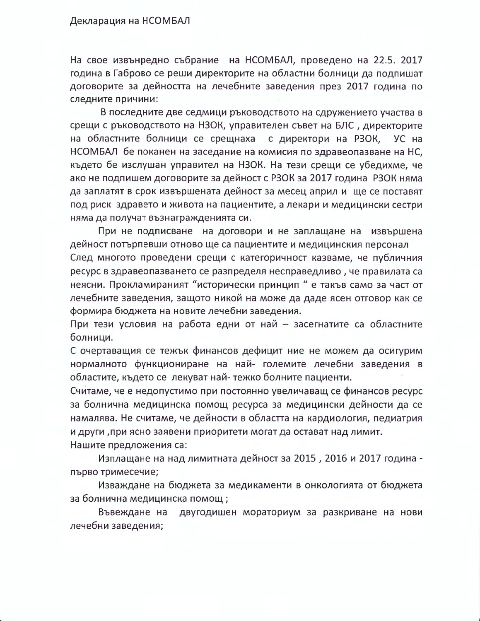## Декларация на НСОМБАЛ

На свое извънредно събрание на НСОМБАЛ, проведено на 22.5. 2017 година в Габрово се реши директорите на областни болници да подпишат договорите за дейността на лечебните заведения през 2017 година по следните причини:

В последните две седмици ръководството на сдружението участва в срещи с ръководството на НЗОК, управителен съвет на БЛС, директорите на областните болници се срещнаха с директори на РЗОК, УС на НСОМБАЛ бе поканен на заседание на комисия по здравеопазване на НС. където бе изслушан управител на НЗОК. На тези срещи се убедихме, че ако не подпишем договорите за дейност с РЗОК за 2017 година РЗОК няма да заплатят в срок извършената дейност за месец април и ще се поставят под риск здравето и живота на пациентите, а лекари и медицински сестри няма да получат възнагражденията си.

При не подписване на договори и не заплащане на извършена дейност потърпевши отново ще са пациентите и медицинския персонал

След многото проведени срещи с категоричност казваме, че публичния ресурс в здравеопазването се разпределя несправедливо, че правилата са неясни. Прокламираният "исторически принцип" е такъв само за част от лечебните заведения, защото никой на може да даде ясен отговор как се формира бюджета на новите лечебни заведения.

При тези условия на работа едни от най - засегнатите са областните болници.

С очертаващия се тежък финансов дефицит ние не можем да осигурим нормалното функциониране на най- големите лечебни заведения в областите, където се лекуват най-тежко болните пациенти.

Считаме, че е недопустимо при постоянно увеличаващ се финансов ресурс за болнична медицинска помощ ресурса за медицински дейности да се намалява. Не считаме, че дейности в областта на кардиология, педиатрия и други , при ясно заявени приоритети могат да остават над лимит. Нашите предложения са:

Изплащане на над лимитната дейност за 2015, 2016 и 2017 година първо тримесечие;

Изваждане на бюджета за медикаменти в онкологията от бюджета за болнична медицинска помощ;

Въвеждане на двугодишен мораториум за разкриване на нови лечебни заведения;